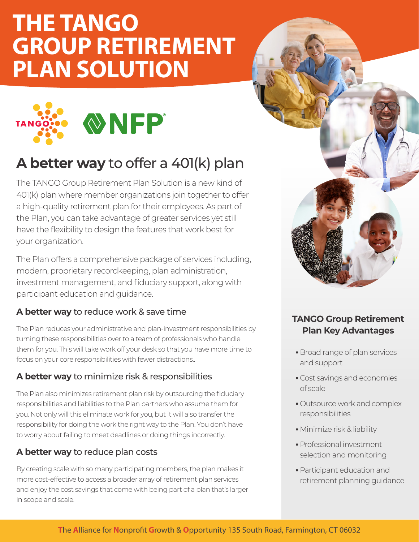# **THE TANGO GROUP RETIREMENT PLAN SOLUTION**



### **A better way** to offer a 401(k) plan

The TANGO Group Retirement Plan Solution is a new kind of 401(k) plan where member organizations join together to offer a high-quality retirement plan for their employees. As part of the Plan, you can take advantage of greater services yet still have the flexibility to design the features that work best for your organization.

The Plan offers a comprehensive package of services including, modern, proprietary recordkeeping, plan administration, investment management, and fiduciary support, along with participant education and guidance.

#### **A better way** to reduce work & save time

The Plan reduces your administrative and plan-investment responsibilities by turning these responsibilities over to a team of professionals who handle them for you. This will take work off your desk so that you have more time to focus on your core responsibilities with fewer distractions..

#### **A better way** to minimize risk & responsibilities

The Plan also minimizes retirement plan risk by outsourcing the fiduciary responsibilities and liabilities to the Plan partners who assume them for you. Not only will this eliminate work for you, but it will also transfer the responsibility for doing the work the right way to the Plan. You don't have to worry about failing to meet deadlines or doing things incorrectly.

#### **A better way** to reduce plan costs

By creating scale with so many participating members, the plan makes it more cost-effective to access a broader array of retirement plan services and enjoy the cost savings that come with being part of a plan that's larger in scope and scale.



#### **TANGO Group Retirement Plan Key Advantages**

- Broad range of plan services and support
- Cost savings and economies of scale
- Outsource work and complex responsibilities
- Minimize risk & liability
- Professional investment selection and monitoring
- Participant education and retirement planning guidance